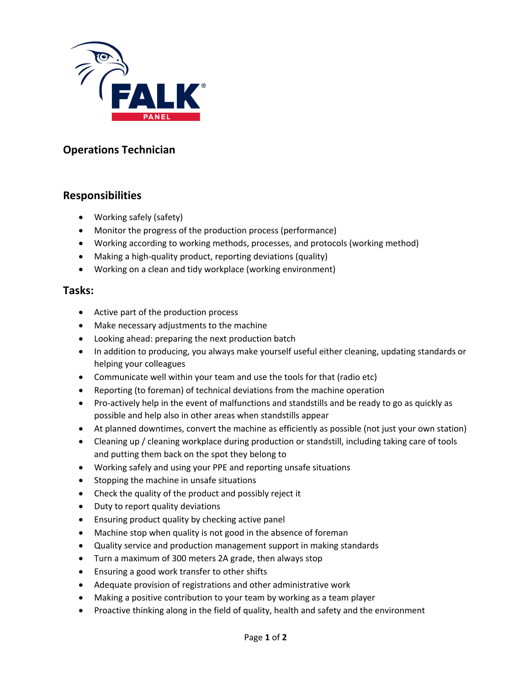

## **Operations Technician**

## **Responsibilities**

- Working safely (safety)
- Monitor the progress of the production process (performance)
- Working according to working methods, processes, and protocols (working method)
- Making a high-quality product, reporting deviations (quality)
- Working on a clean and tidy workplace (working environment)

## **Tasks:**

- Active part of the production process
- Make necessary adjustments to the machine
- Looking ahead: preparing the next production batch
- In addition to producing, you always make yourself useful either cleaning, updating standards or helping your colleagues
- Communicate well within your team and use the tools for that (radio etc)
- Reporting (to foreman) of technical deviations from the machine operation
- Pro-actively help in the event of malfunctions and standstills and be ready to go as quickly as possible and help also in other areas when standstills appear
- At planned downtimes, convert the machine as efficiently as possible (not just your own station)
- Cleaning up / cleaning workplace during production or standstill, including taking care of tools and putting them back on the spot they belong to
- Working safely and using your PPE and reporting unsafe situations
- Stopping the machine in unsafe situations
- Check the quality of the product and possibly reject it
- Duty to report quality deviations
- Ensuring product quality by checking active panel
- Machine stop when quality is not good in the absence of foreman
- Quality service and production management support in making standards
- Turn a maximum of 300 meters 2A grade, then always stop
- Ensuring a good work transfer to other shifts
- Adequate provision of registrations and other administrative work
- Making a positive contribution to your team by working as a team player
- Proactive thinking along in the field of quality, health and safety and the environment